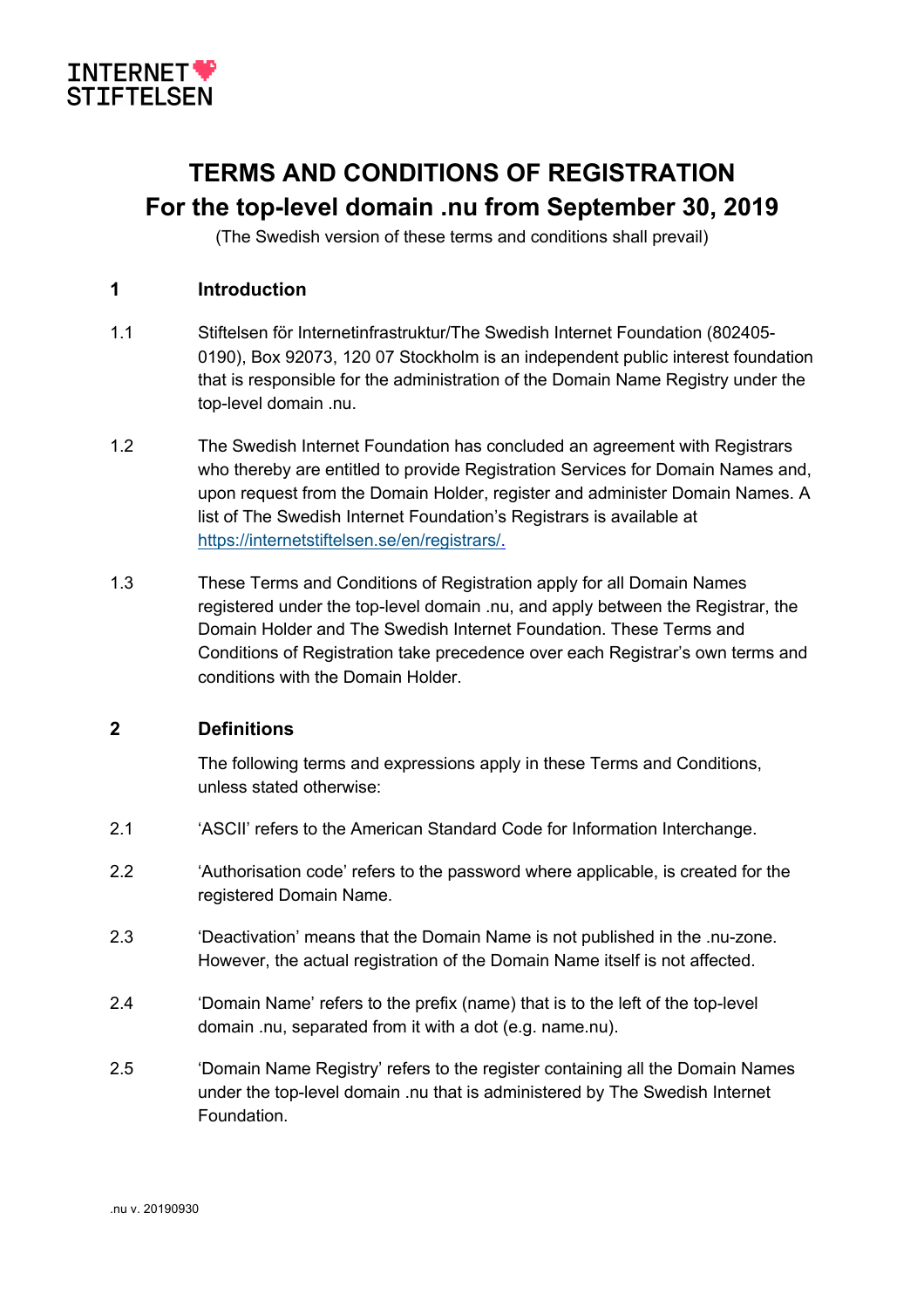

# **TERMS AND CONDITIONS OF REGISTRATION For the top-level domain .nu from September 30, 2019**

(The Swedish version of these terms and conditions shall prevail)

# **1 Introduction**

- 1.1 Stiftelsen för Internetinfrastruktur/The Swedish Internet Foundation (802405- 0190), Box 92073, 120 07 Stockholm is an independent public interest foundation that is responsible for the administration of the Domain Name Registry under the top-level domain .nu.
- 1.2 The Swedish Internet Foundation has concluded an agreement with Registrars who thereby are entitled to provide Registration Services for Domain Names and, upon request from the Domain Holder, register and administer Domain Names. A list of The Swedish Internet Foundation's Registrars is available at https://internetstiftelsen.se/en/registrars/.
- 1.3 These Terms and Conditions of Registration apply for all Domain Names registered under the top-level domain .nu, and apply between the Registrar, the Domain Holder and The Swedish Internet Foundation. These Terms and Conditions of Registration take precedence over each Registrar's own terms and conditions with the Domain Holder.

#### **2 Definitions**

The following terms and expressions apply in these Terms and Conditions, unless stated otherwise:

- 2.1 'ASCII' refers to the American Standard Code for Information Interchange.
- 2.2 'Authorisation code' refers to the password where applicable, is created for the registered Domain Name.
- 2.3 'Deactivation' means that the Domain Name is not published in the .nu-zone. However, the actual registration of the Domain Name itself is not affected.
- 2.4 'Domain Name' refers to the prefix (name) that is to the left of the top-level domain .nu, separated from it with a dot (e.g. name.nu).
- 2.5 'Domain Name Registry' refers to the register containing all the Domain Names under the top-level domain .nu that is administered by The Swedish Internet Foundation.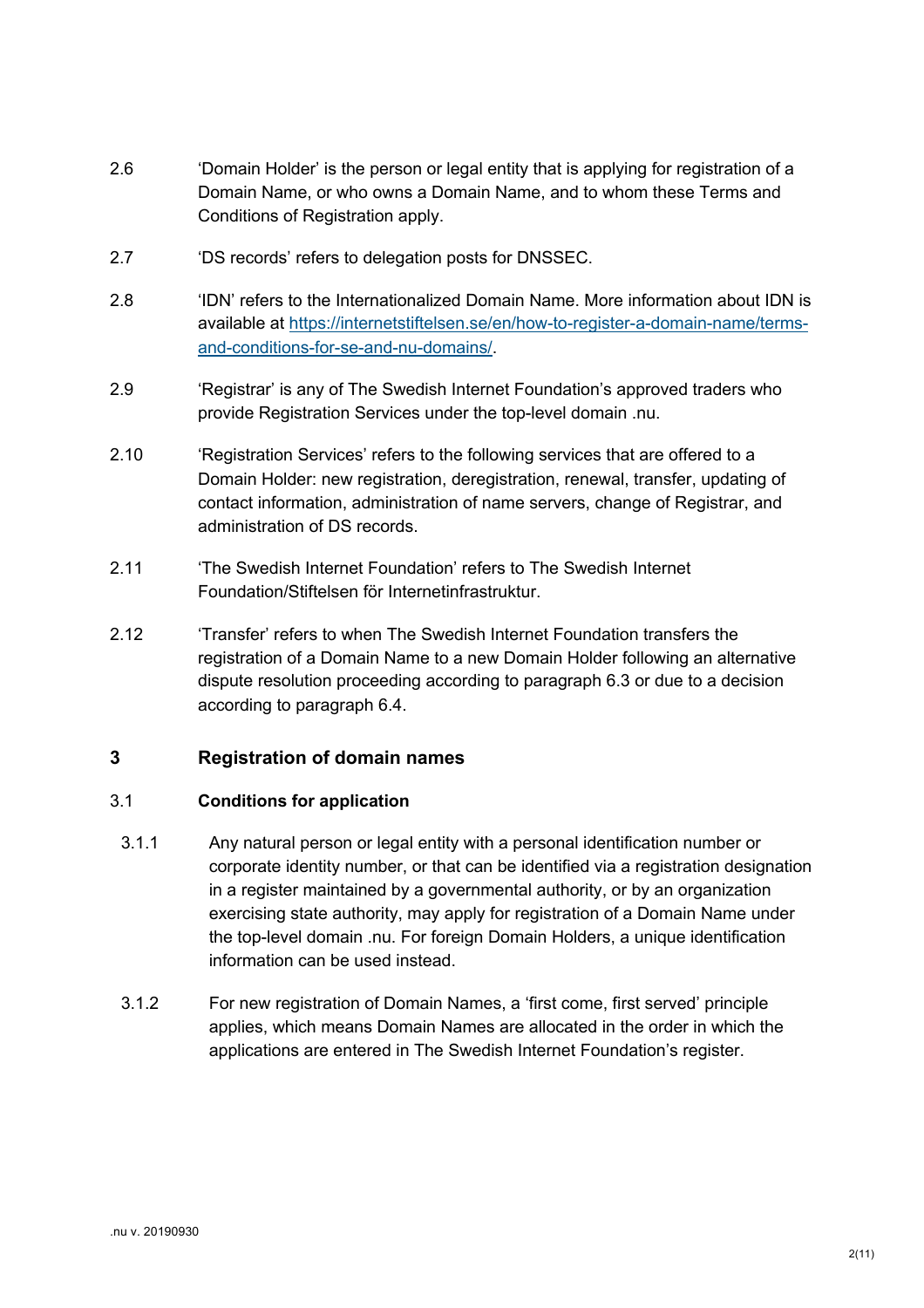- 2.6 'Domain Holder' is the person or legal entity that is applying for registration of a Domain Name, or who owns a Domain Name, and to whom these Terms and Conditions of Registration apply.
- 2.7 'DS records' refers to delegation posts for DNSSEC.
- 2.8 'IDN' refers to the Internationalized Domain Name. More information about IDN is available at https://internetstiftelsen.se/en/how-to-register-a-domain-name/termsand-conditions-for-se-and-nu-domains/.
- 2.9 'Registrar' is any of The Swedish Internet Foundation's approved traders who provide Registration Services under the top-level domain .nu.
- 2.10 'Registration Services' refers to the following services that are offered to a Domain Holder: new registration, deregistration, renewal, transfer, updating of contact information, administration of name servers, change of Registrar, and administration of DS records.
- 2.11 'The Swedish Internet Foundation' refers to The Swedish Internet Foundation/Stiftelsen för Internetinfrastruktur.
- 2.12 'Transfer' refers to when The Swedish Internet Foundation transfers the registration of a Domain Name to a new Domain Holder following an alternative dispute resolution proceeding according to paragraph 6.3 or due to a decision according to paragraph 6.4.

# **3 Registration of domain names**

#### 3.1 **Conditions for application**

- 3.1.1 Any natural person or legal entity with a personal identification number or corporate identity number, or that can be identified via a registration designation in a register maintained by a governmental authority, or by an organization exercising state authority, may apply for registration of a Domain Name under the top-level domain .nu. For foreign Domain Holders, a unique identification information can be used instead.
- 3.1.2 For new registration of Domain Names, a 'first come, first served' principle applies, which means Domain Names are allocated in the order in which the applications are entered in The Swedish Internet Foundation's register.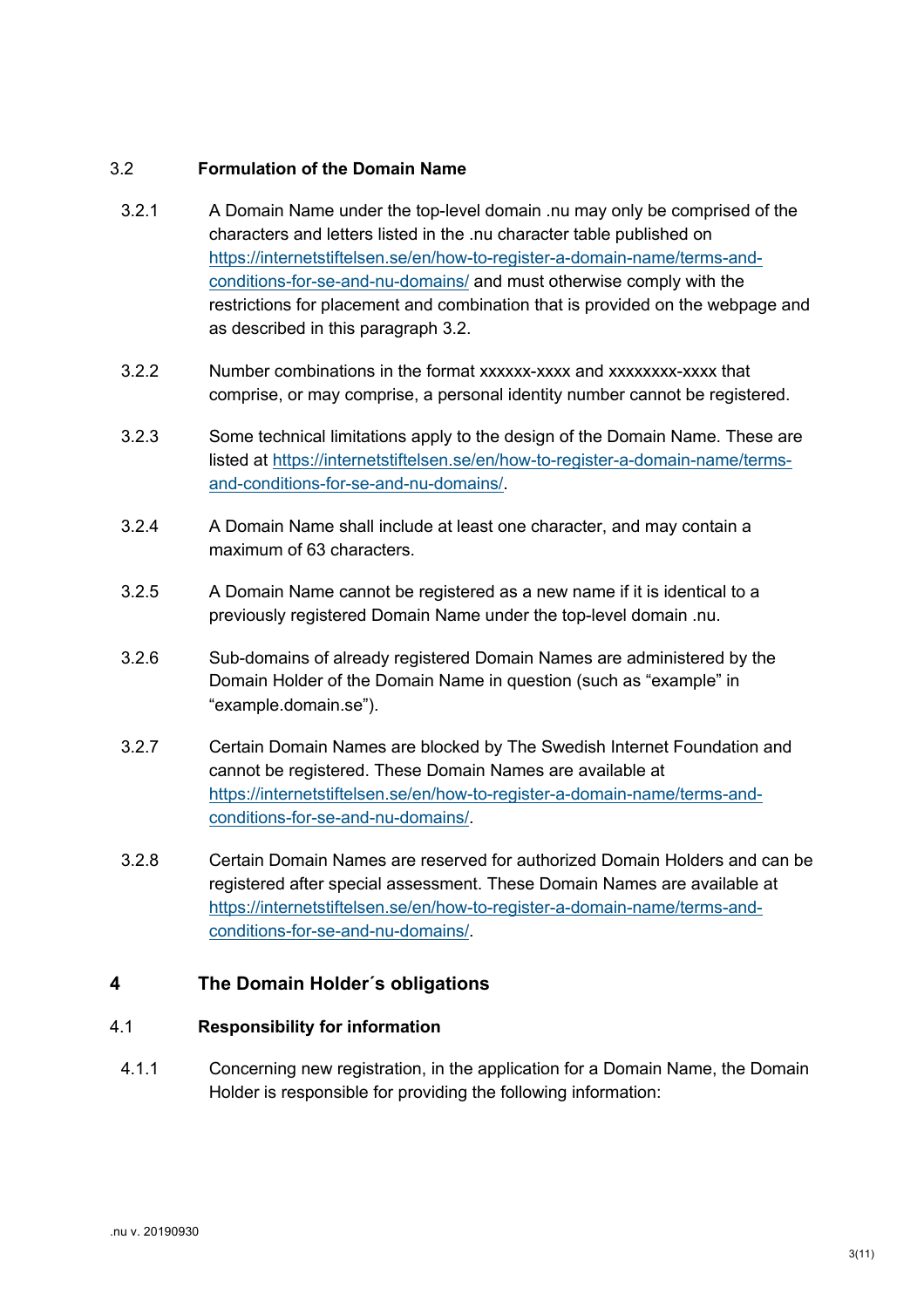# 3.2 **Formulation of the Domain Name**

- 3.2.1 A Domain Name under the top-level domain .nu may only be comprised of the characters and letters listed in the .nu character table published on https://internetstiftelsen.se/en/how-to-register-a-domain-name/terms-andconditions-for-se-and-nu-domains/ and must otherwise comply with the restrictions for placement and combination that is provided on the webpage and as described in this paragraph 3.2.
- 3.2.2 Number combinations in the format xxxxxx-xxxx and xxxxxxxx-xxxx that comprise, or may comprise, a personal identity number cannot be registered.
- 3.2.3 Some technical limitations apply to the design of the Domain Name. These are listed at https://internetstiftelsen.se/en/how-to-register-a-domain-name/termsand-conditions-for-se-and-nu-domains/.
- 3.2.4 A Domain Name shall include at least one character, and may contain a maximum of 63 characters.
- 3.2.5 A Domain Name cannot be registered as a new name if it is identical to a previously registered Domain Name under the top-level domain .nu.
- 3.2.6 Sub-domains of already registered Domain Names are administered by the Domain Holder of the Domain Name in question (such as "example" in "example.domain.se").
- 3.2.7 Certain Domain Names are blocked by The Swedish Internet Foundation and cannot be registered. These Domain Names are available at https://internetstiftelsen.se/en/how-to-register-a-domain-name/terms-andconditions-for-se-and-nu-domains/.
- 3.2.8 Certain Domain Names are reserved for authorized Domain Holders and can be registered after special assessment. These Domain Names are available at https://internetstiftelsen.se/en/how-to-register-a-domain-name/terms-andconditions-for-se-and-nu-domains/.

#### **4 The Domain Holder´s obligations**

#### 4.1 **Responsibility for information**

4.1.1 Concerning new registration, in the application for a Domain Name, the Domain Holder is responsible for providing the following information: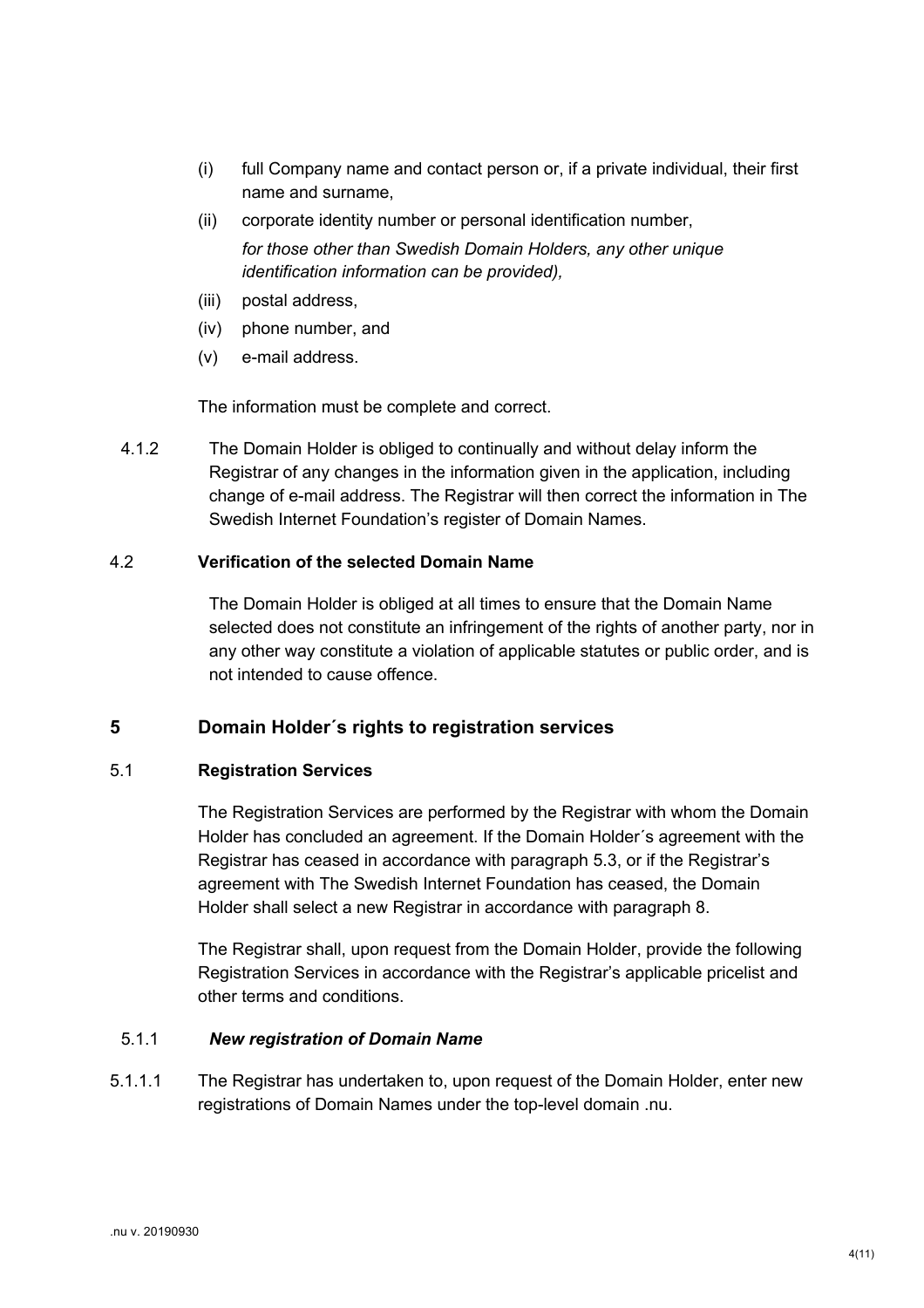- (i) full Company name and contact person or, if a private individual, their first name and surname,
- (ii) corporate identity number or personal identification number, *for those other than Swedish Domain Holders, any other unique identification information can be provided),*
- (iii) postal address,
- (iv) phone number, and
- (v) e-mail address.

The information must be complete and correct.

4.1.2 The Domain Holder is obliged to continually and without delay inform the Registrar of any changes in the information given in the application, including change of e-mail address. The Registrar will then correct the information in The Swedish Internet Foundation's register of Domain Names.

# 4.2 **Verification of the selected Domain Name**

The Domain Holder is obliged at all times to ensure that the Domain Name selected does not constitute an infringement of the rights of another party, nor in any other way constitute a violation of applicable statutes or public order, and is not intended to cause offence.

# **5 Domain Holder´s rights to registration services**

# 5.1 **Registration Services**

The Registration Services are performed by the Registrar with whom the Domain Holder has concluded an agreement. If the Domain Holder´s agreement with the Registrar has ceased in accordance with paragraph 5.3, or if the Registrar's agreement with The Swedish Internet Foundation has ceased, the Domain Holder shall select a new Registrar in accordance with paragraph 8.

The Registrar shall, upon request from the Domain Holder, provide the following Registration Services in accordance with the Registrar's applicable pricelist and other terms and conditions.

#### 5.1.1 *New registration of Domain Name*

5.1.1.1 The Registrar has undertaken to, upon request of the Domain Holder, enter new registrations of Domain Names under the top-level domain .nu.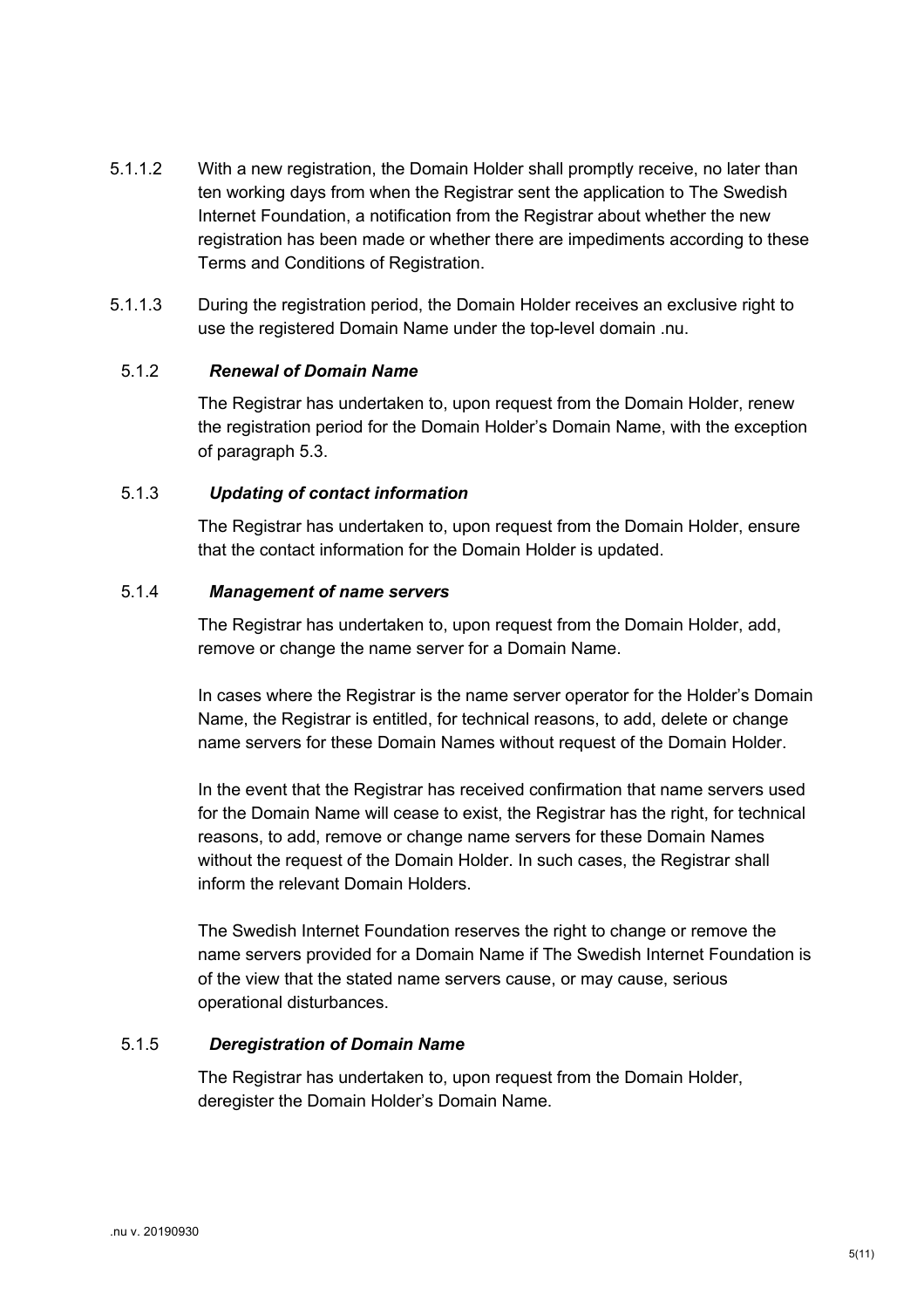- 5.1.1.2 With a new registration, the Domain Holder shall promptly receive, no later than ten working days from when the Registrar sent the application to The Swedish Internet Foundation, a notification from the Registrar about whether the new registration has been made or whether there are impediments according to these Terms and Conditions of Registration.
- 5.1.1.3 During the registration period, the Domain Holder receives an exclusive right to use the registered Domain Name under the top-level domain .nu.

#### 5.1.2 *Renewal of Domain Name*

The Registrar has undertaken to, upon request from the Domain Holder, renew the registration period for the Domain Holder's Domain Name, with the exception of paragraph 5.3.

#### 5.1.3 *Updating of contact information*

The Registrar has undertaken to, upon request from the Domain Holder, ensure that the contact information for the Domain Holder is updated.

#### 5.1.4 *Management of name servers*

The Registrar has undertaken to, upon request from the Domain Holder, add, remove or change the name server for a Domain Name.

In cases where the Registrar is the name server operator for the Holder's Domain Name, the Registrar is entitled, for technical reasons, to add, delete or change name servers for these Domain Names without request of the Domain Holder.

In the event that the Registrar has received confirmation that name servers used for the Domain Name will cease to exist, the Registrar has the right, for technical reasons, to add, remove or change name servers for these Domain Names without the request of the Domain Holder. In such cases, the Registrar shall inform the relevant Domain Holders.

The Swedish Internet Foundation reserves the right to change or remove the name servers provided for a Domain Name if The Swedish Internet Foundation is of the view that the stated name servers cause, or may cause, serious operational disturbances.

# 5.1.5 *Deregistration of Domain Name*

The Registrar has undertaken to, upon request from the Domain Holder, deregister the Domain Holder's Domain Name.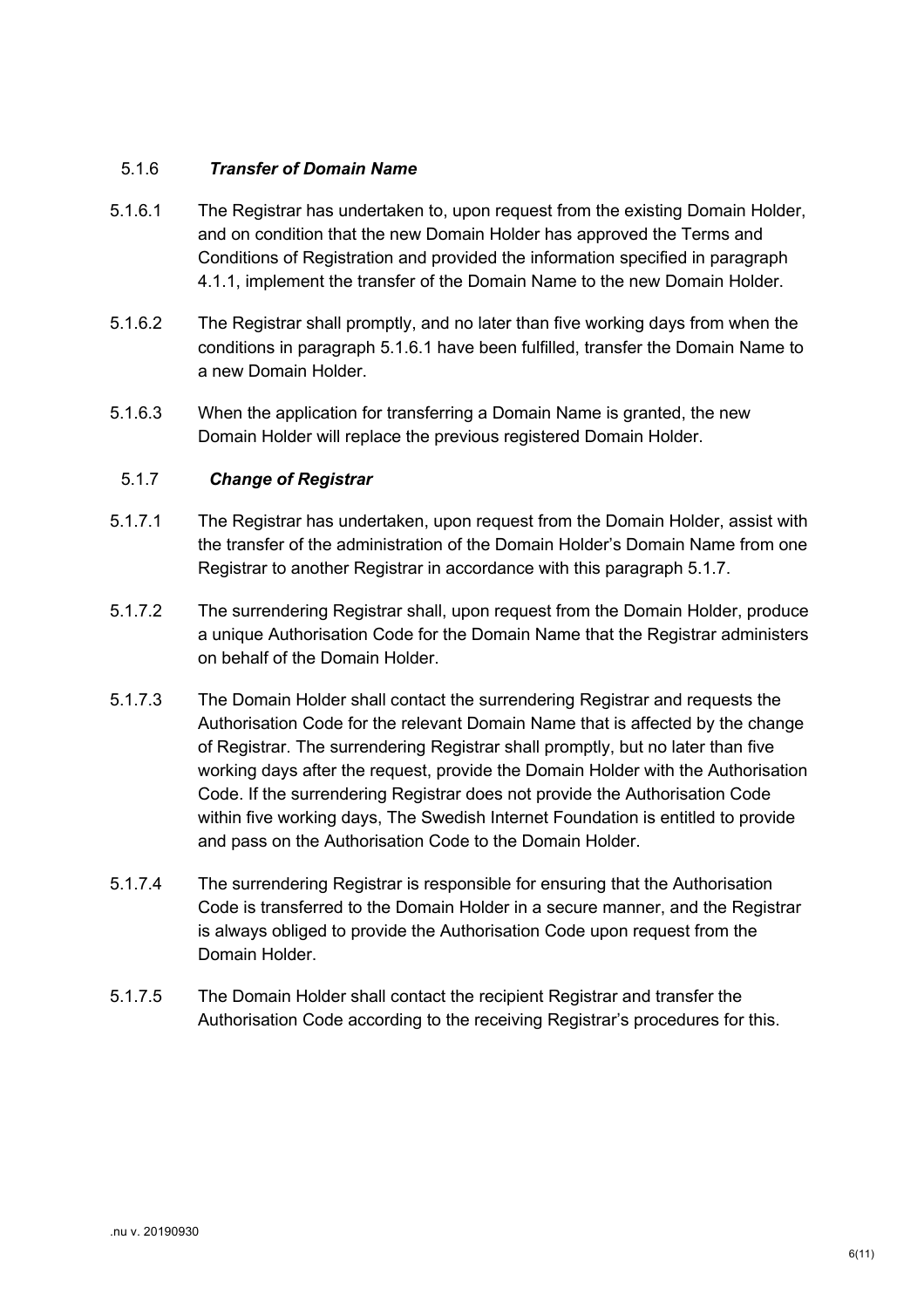# 5.1.6 *Transfer of Domain Name*

- 5.1.6.1 The Registrar has undertaken to, upon request from the existing Domain Holder, and on condition that the new Domain Holder has approved the Terms and Conditions of Registration and provided the information specified in paragraph 4.1.1, implement the transfer of the Domain Name to the new Domain Holder.
- 5.1.6.2 The Registrar shall promptly, and no later than five working days from when the conditions in paragraph 5.1.6.1 have been fulfilled, transfer the Domain Name to a new Domain Holder.
- 5.1.6.3 When the application for transferring a Domain Name is granted, the new Domain Holder will replace the previous registered Domain Holder.

# 5.1.7 *Change of Registrar*

- 5.1.7.1 The Registrar has undertaken, upon request from the Domain Holder, assist with the transfer of the administration of the Domain Holder's Domain Name from one Registrar to another Registrar in accordance with this paragraph 5.1.7.
- 5.1.7.2 The surrendering Registrar shall, upon request from the Domain Holder, produce a unique Authorisation Code for the Domain Name that the Registrar administers on behalf of the Domain Holder.
- 5.1.7.3 The Domain Holder shall contact the surrendering Registrar and requests the Authorisation Code for the relevant Domain Name that is affected by the change of Registrar. The surrendering Registrar shall promptly, but no later than five working days after the request, provide the Domain Holder with the Authorisation Code. If the surrendering Registrar does not provide the Authorisation Code within five working days, The Swedish Internet Foundation is entitled to provide and pass on the Authorisation Code to the Domain Holder.
- 5.1.7.4 The surrendering Registrar is responsible for ensuring that the Authorisation Code is transferred to the Domain Holder in a secure manner, and the Registrar is always obliged to provide the Authorisation Code upon request from the Domain Holder.
- 5.1.7.5 The Domain Holder shall contact the recipient Registrar and transfer the Authorisation Code according to the receiving Registrar's procedures for this.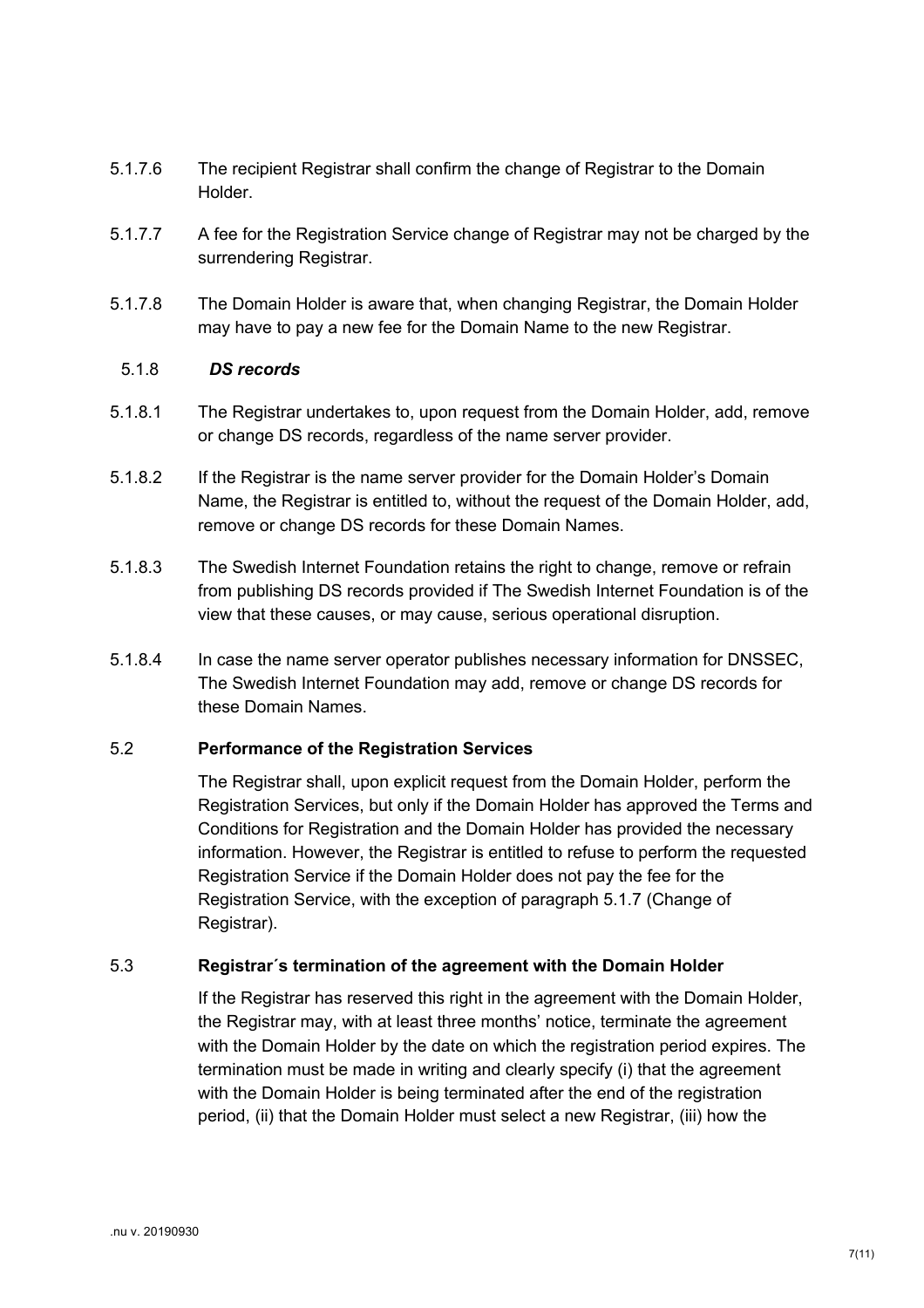- 5.1.7.6 The recipient Registrar shall confirm the change of Registrar to the Domain Holder.
- 5.1.7.7 A fee for the Registration Service change of Registrar may not be charged by the surrendering Registrar.
- 5.1.7.8 The Domain Holder is aware that, when changing Registrar, the Domain Holder may have to pay a new fee for the Domain Name to the new Registrar.

#### 5.1.8 *DS records*

- 5.1.8.1 The Registrar undertakes to, upon request from the Domain Holder, add, remove or change DS records, regardless of the name server provider.
- 5.1.8.2 If the Registrar is the name server provider for the Domain Holder's Domain Name, the Registrar is entitled to, without the request of the Domain Holder, add, remove or change DS records for these Domain Names.
- 5.1.8.3 The Swedish Internet Foundation retains the right to change, remove or refrain from publishing DS records provided if The Swedish Internet Foundation is of the view that these causes, or may cause, serious operational disruption.
- 5.1.8.4 In case the name server operator publishes necessary information for DNSSEC, The Swedish Internet Foundation may add, remove or change DS records for these Domain Names.

#### 5.2 **Performance of the Registration Services**

The Registrar shall, upon explicit request from the Domain Holder, perform the Registration Services, but only if the Domain Holder has approved the Terms and Conditions for Registration and the Domain Holder has provided the necessary information. However, the Registrar is entitled to refuse to perform the requested Registration Service if the Domain Holder does not pay the fee for the Registration Service, with the exception of paragraph 5.1.7 (Change of Registrar).

#### 5.3 **Registrar´s termination of the agreement with the Domain Holder**

If the Registrar has reserved this right in the agreement with the Domain Holder, the Registrar may, with at least three months' notice, terminate the agreement with the Domain Holder by the date on which the registration period expires. The termination must be made in writing and clearly specify (i) that the agreement with the Domain Holder is being terminated after the end of the registration period, (ii) that the Domain Holder must select a new Registrar, (iii) how the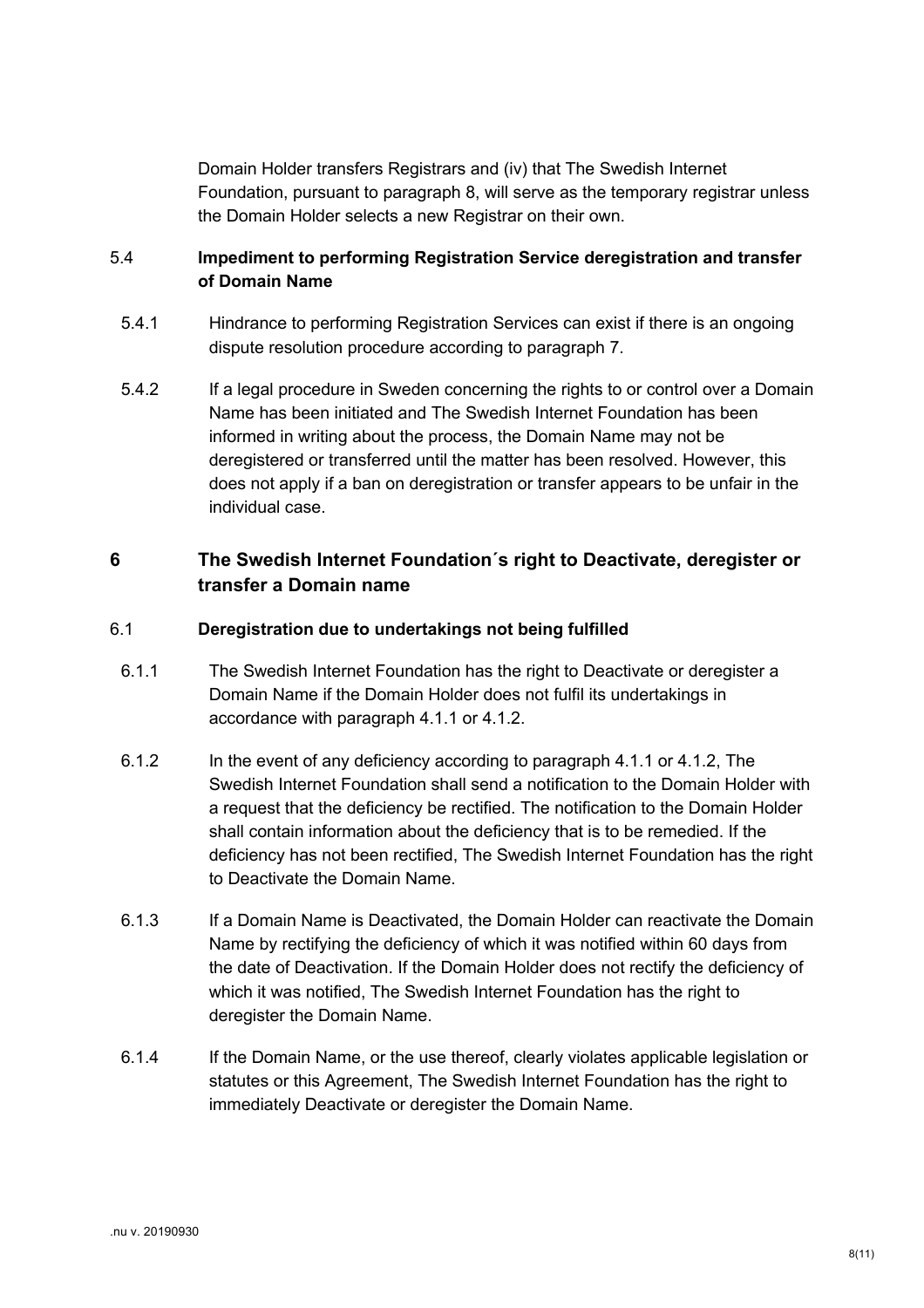Domain Holder transfers Registrars and (iv) that The Swedish Internet Foundation, pursuant to paragraph 8, will serve as the temporary registrar unless the Domain Holder selects a new Registrar on their own.

# 5.4 **Impediment to performing Registration Service deregistration and transfer of Domain Name**

- 5.4.1 Hindrance to performing Registration Services can exist if there is an ongoing dispute resolution procedure according to paragraph 7.
- 5.4.2 If a legal procedure in Sweden concerning the rights to or control over a Domain Name has been initiated and The Swedish Internet Foundation has been informed in writing about the process, the Domain Name may not be deregistered or transferred until the matter has been resolved. However, this does not apply if a ban on deregistration or transfer appears to be unfair in the individual case.

# **6 The Swedish Internet Foundation´s right to Deactivate, deregister or transfer a Domain name**

# 6.1 **Deregistration due to undertakings not being fulfilled**

- 6.1.1 The Swedish Internet Foundation has the right to Deactivate or deregister a Domain Name if the Domain Holder does not fulfil its undertakings in accordance with paragraph 4.1.1 or 4.1.2.
- 6.1.2 In the event of any deficiency according to paragraph 4.1.1 or 4.1.2, The Swedish Internet Foundation shall send a notification to the Domain Holder with a request that the deficiency be rectified. The notification to the Domain Holder shall contain information about the deficiency that is to be remedied. If the deficiency has not been rectified, The Swedish Internet Foundation has the right to Deactivate the Domain Name.
- 6.1.3 If a Domain Name is Deactivated, the Domain Holder can reactivate the Domain Name by rectifying the deficiency of which it was notified within 60 days from the date of Deactivation. If the Domain Holder does not rectify the deficiency of which it was notified, The Swedish Internet Foundation has the right to deregister the Domain Name.
- 6.1.4 If the Domain Name, or the use thereof, clearly violates applicable legislation or statutes or this Agreement, The Swedish Internet Foundation has the right to immediately Deactivate or deregister the Domain Name.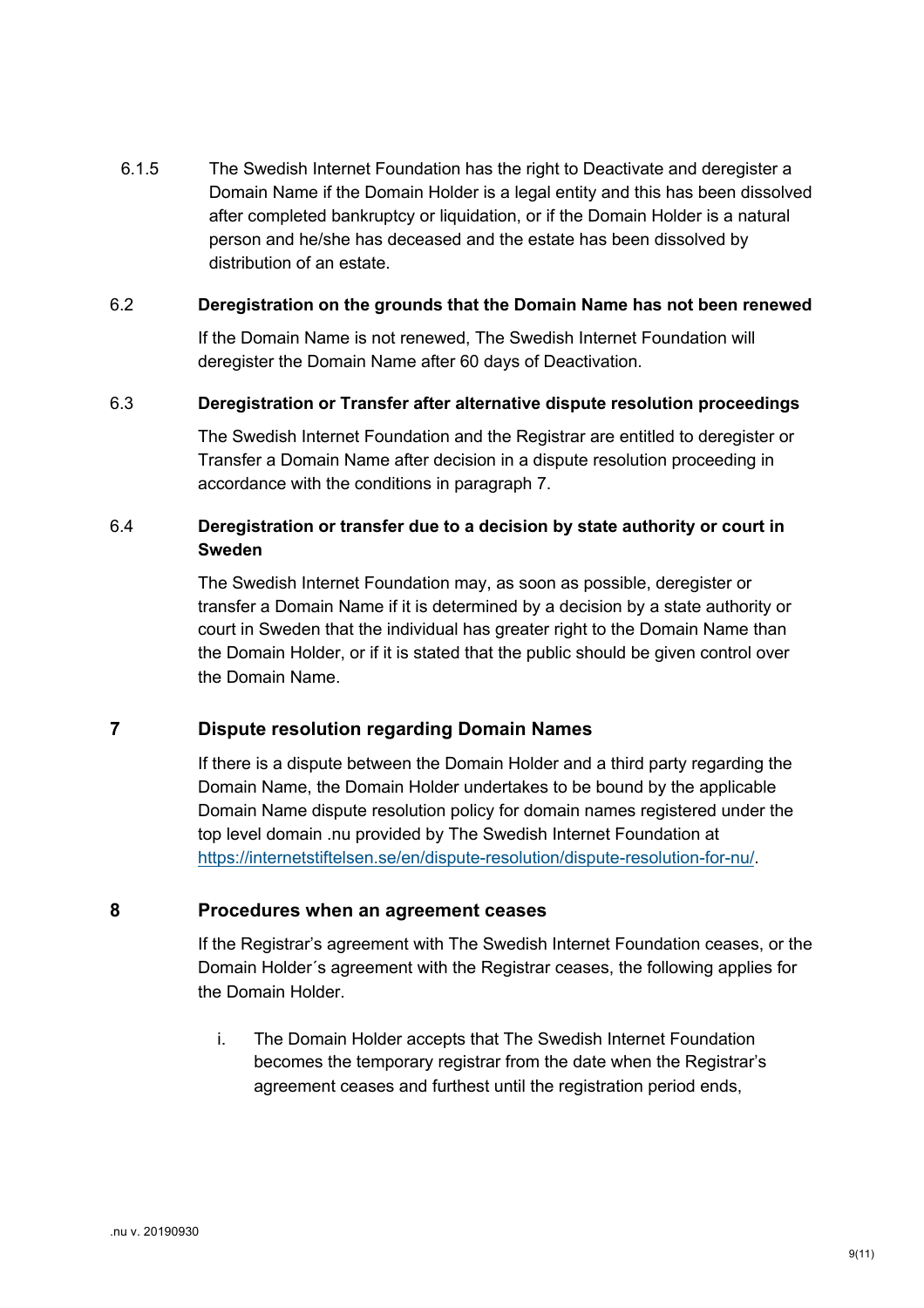6.1.5 The Swedish Internet Foundation has the right to Deactivate and deregister a Domain Name if the Domain Holder is a legal entity and this has been dissolved after completed bankruptcy or liquidation, or if the Domain Holder is a natural person and he/she has deceased and the estate has been dissolved by distribution of an estate.

#### 6.2 **Deregistration on the grounds that the Domain Name has not been renewed**

If the Domain Name is not renewed, The Swedish Internet Foundation will deregister the Domain Name after 60 days of Deactivation.

#### 6.3 **Deregistration or Transfer after alternative dispute resolution proceedings**

The Swedish Internet Foundation and the Registrar are entitled to deregister or Transfer a Domain Name after decision in a dispute resolution proceeding in accordance with the conditions in paragraph 7.

# 6.4 **Deregistration or transfer due to a decision by state authority or court in Sweden**

The Swedish Internet Foundation may, as soon as possible, deregister or transfer a Domain Name if it is determined by a decision by a state authority or court in Sweden that the individual has greater right to the Domain Name than the Domain Holder, or if it is stated that the public should be given control over the Domain Name.

#### **7 Dispute resolution regarding Domain Names**

If there is a dispute between the Domain Holder and a third party regarding the Domain Name, the Domain Holder undertakes to be bound by the applicable Domain Name dispute resolution policy for domain names registered under the top level domain .nu provided by The Swedish Internet Foundation at https://internetstiftelsen.se/en/dispute-resolution/dispute-resolution-for-nu/.

# **8 Procedures when an agreement ceases**

If the Registrar's agreement with The Swedish Internet Foundation ceases, or the Domain Holder´s agreement with the Registrar ceases, the following applies for the Domain Holder.

i. The Domain Holder accepts that The Swedish Internet Foundation becomes the temporary registrar from the date when the Registrar's agreement ceases and furthest until the registration period ends,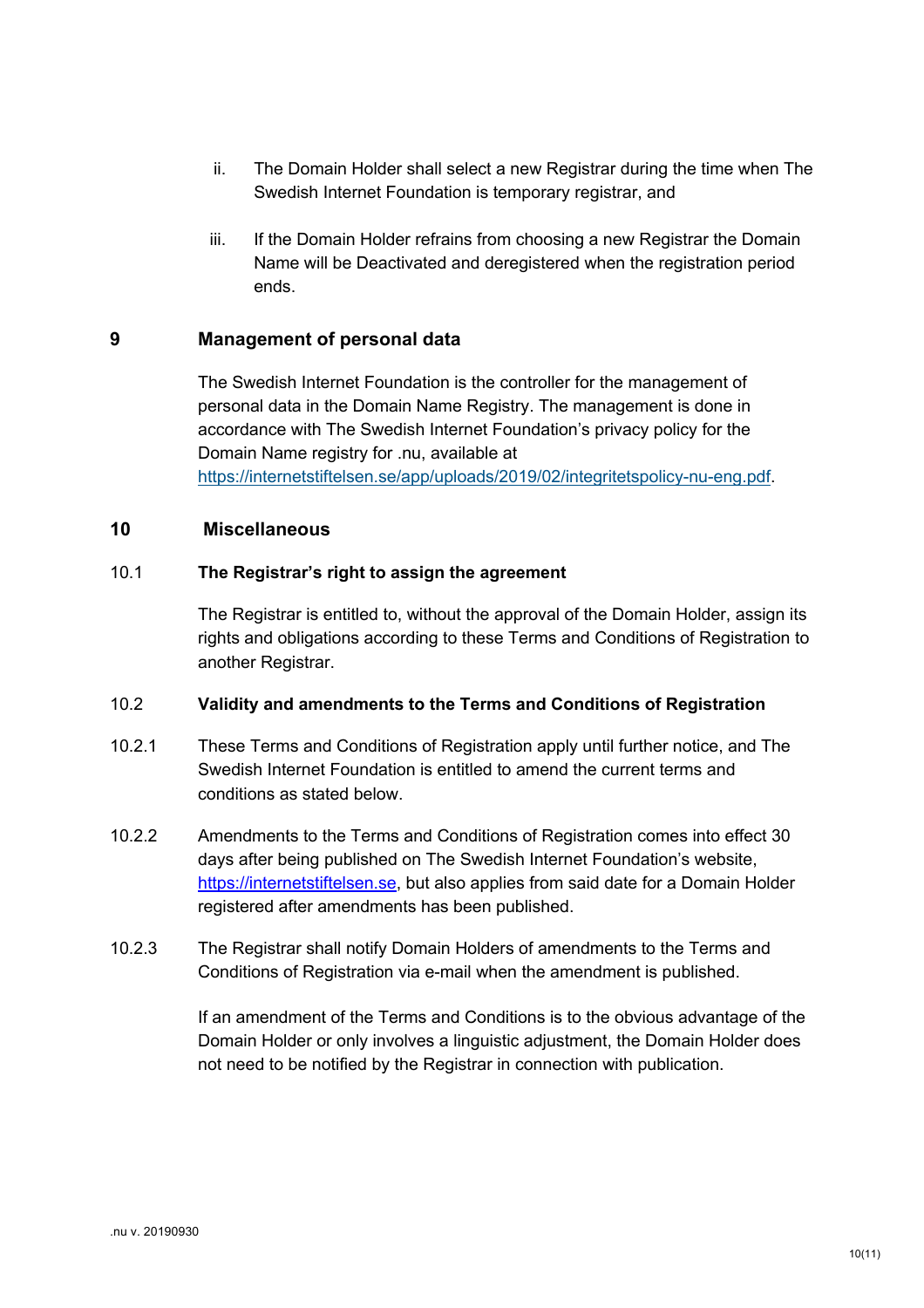- ii. The Domain Holder shall select a new Registrar during the time when The Swedish Internet Foundation is temporary registrar, and
- iii. If the Domain Holder refrains from choosing a new Registrar the Domain Name will be Deactivated and deregistered when the registration period ends.

#### **9 Management of personal data**

The Swedish Internet Foundation is the controller for the management of personal data in the Domain Name Registry. The management is done in accordance with The Swedish Internet Foundation's privacy policy for the Domain Name registry for .nu, available at https://internetstiftelsen.se/app/uploads/2019/02/integritetspolicy-nu-eng.pdf.

#### **10 Miscellaneous**

#### 10.1 **The Registrar's right to assign the agreement**

The Registrar is entitled to, without the approval of the Domain Holder, assign its rights and obligations according to these Terms and Conditions of Registration to another Registrar.

#### 10.2 **Validity and amendments to the Terms and Conditions of Registration**

- 10.2.1 These Terms and Conditions of Registration apply until further notice, and The Swedish Internet Foundation is entitled to amend the current terms and conditions as stated below.
- 10.2.2 Amendments to the Terms and Conditions of Registration comes into effect 30 days after being published on The Swedish Internet Foundation's website, https://internetstiftelsen.se, but also applies from said date for a Domain Holder registered after amendments has been published.
- 10.2.3 The Registrar shall notify Domain Holders of amendments to the Terms and Conditions of Registration via e-mail when the amendment is published.

If an amendment of the Terms and Conditions is to the obvious advantage of the Domain Holder or only involves a linguistic adjustment, the Domain Holder does not need to be notified by the Registrar in connection with publication.